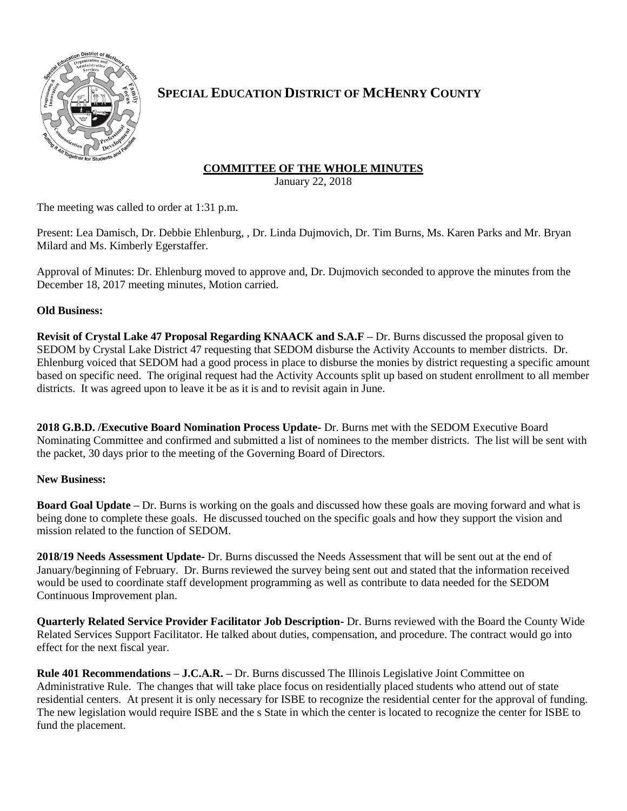

# **SPECIAL EDUCATION DISTRICT OF MCHENRY COUNTY**

## **COMMITTEE OF THE WHOLE MINUTES**

January 22, 2018

The meeting was called to order at 1:31 p.m.

Present: Lea Damisch, Dr. Debbie Ehlenburg, , Dr. Linda Dujmovich, Dr. Tim Burns, Ms. Karen Parks and Mr. Bryan Milard and Ms. Kimberly Egerstaffer.

Approval of Minutes: Dr. Ehlenburg moved to approve and, Dr. Dujmovich seconded to approve the minutes from the December 18, 2017 meeting minutes, Motion carried.

### **Old Business:**

**Revisit of Crystal Lake 47 Proposal Regarding KNAACK and S.A.F –** Dr. Burns discussed the proposal given to SEDOM by Crystal Lake District 47 requesting that SEDOM disburse the Activity Accounts to member districts. Dr. Ehlenburg voiced that SEDOM had a good process in place to disburse the monies by district requesting a specific amount based on specific need. The original request had the Activity Accounts split up based on student enrollment to all member districts. It was agreed upon to leave it be as it is and to revisit again in June.

**2018 G.B.D. /Executive Board Nomination Process Update-** Dr. Burns met with the SEDOM Executive Board Nominating Committee and confirmed and submitted a list of nominees to the member districts. The list will be sent with the packet, 30 days prior to the meeting of the Governing Board of Directors.

### **New Business:**

**Board Goal Update –** Dr. Burns is working on the goals and discussed how these goals are moving forward and what is being done to complete these goals. He discussed touched on the specific goals and how they support the vision and mission related to the function of SEDOM.

**2018/19 Needs Assessment Update-** Dr. Burns discussed the Needs Assessment that will be sent out at the end of January/beginning of February. Dr. Burns reviewed the survey being sent out and stated that the information received would be used to coordinate staff development programming as well as contribute to data needed for the SEDOM Continuous Improvement plan.

**Quarterly Related Service Provider Facilitator Job Description-** Dr. Burns reviewed with the Board the County Wide Related Services Support Facilitator. He talked about duties, compensation, and procedure. The contract would go into effect for the next fiscal year.

**Rule 401 Recommendations – J.C.A.R. –** Dr. Burns discussed The Illinois Legislative Joint Committee on Administrative Rule. The changes that will take place focus on residentially placed students who attend out of state residential centers. At present it is only necessary for ISBE to recognize the residential center for the approval of funding. The new legislation would require ISBE and the s State in which the center is located to recognize the center for ISBE to fund the placement.